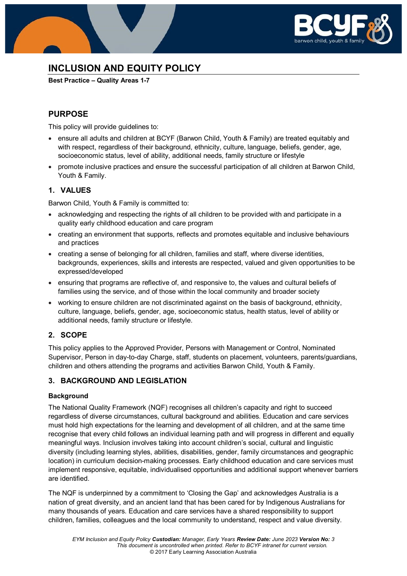

# **INCLUSION AND EQUITY POLICY**

**Best Practice – Quality Areas 1-7**

# **PURPOSE**

This policy will provide guidelines to:

- ensure all adults and children at BCYF (Barwon Child, Youth & Family) are treated equitably and with respect, regardless of their background, ethnicity, culture, language, beliefs, gender, age, socioeconomic status, level of ability, additional needs, family structure or lifestyle
- promote inclusive practices and ensure the successful participation of all children at Barwon Child, Youth & Family.

### **1. VALUES**

Barwon Child, Youth & Family is committed to:

- acknowledging and respecting the rights of all children to be provided with and participate in a quality early childhood education and care program
- creating an environment that supports, reflects and promotes equitable and inclusive behaviours and practices
- creating a sense of belonging for all children, families and staff, where diverse identities, backgrounds, experiences, skills and interests are respected, valued and given opportunities to be expressed/developed
- ensuring that programs are reflective of, and responsive to, the values and cultural beliefs of families using the service, and of those within the local community and broader society
- working to ensure children are not discriminated against on the basis of background, ethnicity, culture, language, beliefs, gender, age, socioeconomic status, health status, level of ability or additional needs, family structure or lifestyle.

# **2. SCOPE**

This policy applies to the Approved Provider, Persons with Management or Control, Nominated Supervisor, Person in day-to-day Charge, staff, students on placement, volunteers, parents/guardians, children and others attending the programs and activities Barwon Child, Youth & Family.

# **3. BACKGROUND AND LEGISLATION**

### **Background**

The National Quality Framework (NQF) recognises all children's capacity and right to succeed regardless of diverse circumstances, cultural background and abilities. Education and care services must hold high expectations for the learning and development of all children, and at the same time recognise that every child follows an individual learning path and will progress in different and equally meaningful ways. Inclusion involves taking into account children's social, cultural and linguistic diversity (including learning styles, abilities, disabilities, gender, family circumstances and geographic location) in curriculum decision-making processes. Early childhood education and care services must implement responsive, equitable, individualised opportunities and additional support whenever barriers are identified.

The NQF is underpinned by a commitment to 'Closing the Gap' and acknowledges Australia is a nation of great diversity, and an ancient land that has been cared for by Indigenous Australians for many thousands of years. Education and care services have a shared responsibility to support children, families, colleagues and the local community to understand, respect and value diversity.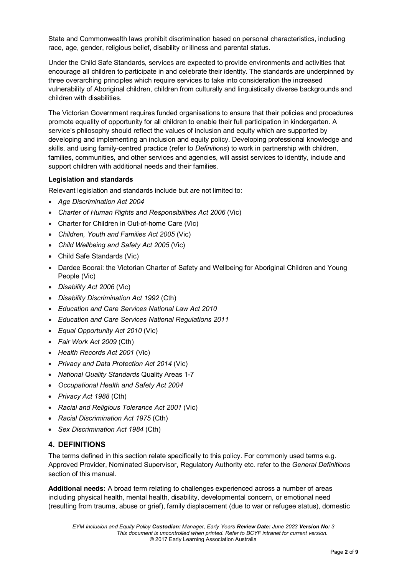State and Commonwealth laws prohibit discrimination based on personal characteristics, including race, age, gender, religious belief, disability or illness and parental status.

Under the Child Safe Standards, services are expected to provide environments and activities that encourage all children to participate in and celebrate their identity. The standards are underpinned by three overarching principles which require services to take into consideration the increased vulnerability of Aboriginal children, children from culturally and linguistically diverse backgrounds and children with disabilities.

The Victorian Government requires funded organisations to ensure that their policies and procedures promote equality of opportunity for all children to enable their full participation in kindergarten. A service's philosophy should reflect the values of inclusion and equity which are supported by developing and implementing an inclusion and equity policy. Developing professional knowledge and skills, and using family-centred practice (refer to *Definitions*) to work in partnership with children, families, communities, and other services and agencies, will assist services to identify, include and support children with additional needs and their families.

### **Legislation and standards**

Relevant legislation and standards include but are not limited to:

- *Age Discrimination Act 2004*
- *[Charter of Human Rights and Responsibilities Act 2006](http://www.legislation.vic.gov.au/Domino/Web_Notes/LDMS/PubStatbook.nsf/f932b66241ecf1b7ca256e92000e23be/54d73763ef9dca36ca2571b6002428b0!OpenDocument)* (Vic)
- Charter for Children in Out-of-home Care (Vic)
- *Children, Youth and Families Act 2005* (Vic)
- *Child Wellbeing and Safety Act 2005* (Vic)
- Child Safe Standards (Vic)
- Dardee Boorai: the Victorian Charter of Safety and Wellbeing for Aboriginal Children and Young People (Vic)
- *Disability Act 2006* (Vic)
- *Disability Discrimination Act 1992* (Cth)
- *Education and Care Services National Law Act 2010*
- *Education and Care Services National Regulations 2011*
- *Equal Opportunity Act 2010* (Vic)
- *Fair Work Act 2009* (Cth)
- *Health Records Act 2001* (Vic)
- *Privacy and Data Protection Act 2014* (Vic)
- *National Quality Standards* Quality Areas 1-7
- *Occupational Health and Safety Act 2004*
- *Privacy Act 1988* (Cth)
- *Racial and Religious Tolerance Act 2001* (Vic)
- *Racial Discrimination Act 1975* (Cth)
- *Sex Discrimination Act 1984* (Cth)

### **4. DEFINITIONS**

The terms defined in this section relate specifically to this policy. For commonly used terms e.g. Approved Provider, Nominated Supervisor, Regulatory Authority etc. refer to the *General Definitions* section of this manual.

**Additional needs:** A broad term relating to challenges experienced across a number of areas including physical health, mental health, disability, developmental concern, or emotional need (resulting from trauma, abuse or grief), family displacement (due to war or refugee status), domestic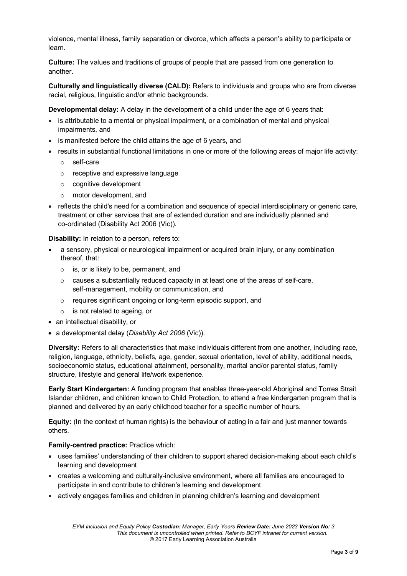violence, mental illness, family separation or divorce, which affects a person's ability to participate or learn.

**Culture:** The values and traditions of groups of people that are passed from one generation to another.

**Culturally and linguistically diverse (CALD):** Refers to individuals and groups who are from diverse racial, religious, linguistic and/or ethnic backgrounds.

**Developmental delay:** A delay in the development of a child under the age of 6 years that:

- is attributable to a mental or physical impairment, or a combination of mental and physical impairments, and
- is manifested before the child attains the age of 6 years, and
- results in substantial functional limitations in one or more of the following areas of major life activity:
	- o self-care
	- o receptive and expressive language
	- o cognitive development
	- o motor development, and
- reflects the child's need for a combination and sequence of special interdisciplinary or generic care, treatment or other services that are of extended duration and are individually planned and co-ordinated (Disability Act 2006 (Vic)).

**Disability:** In relation to a person, refers to:

- a sensory, physical or neurological impairment or acquired brain injury, or any combination thereof, that:
	- o is, or is likely to be, permanent, and
	- o causes a substantially reduced capacity in at least one of the areas of self-care, self-management, mobility or communication, and
	- o requires significant ongoing or long-term episodic support, and
	- o is not related to ageing, or
- an intellectual disability, or
- a developmental delay (*Disability Act 2006* (Vic)).

**Diversity:** Refers to all characteristics that make individuals different from one another, including race, religion, language, ethnicity, beliefs, age, gender, sexual orientation, level of ability, additional needs, socioeconomic status, educational attainment, personality, marital and/or parental status, family structure, lifestyle and general life/work experience.

**Early Start Kindergarten:** A funding program that enables three-year-old Aboriginal and Torres Strait Islander children, and children known to Child Protection, to attend a free kindergarten program that is planned and delivered by an early childhood teacher for a specific number of hours.

**Equity:** (In the context of human rights) is the behaviour of acting in a fair and just manner towards others.

### **Family-centred practice:** Practice which:

- uses families' understanding of their children to support shared decision-making about each child's learning and development
- creates a welcoming and culturally-inclusive environment, where all families are encouraged to participate in and contribute to children's learning and development
- actively engages families and children in planning children's learning and development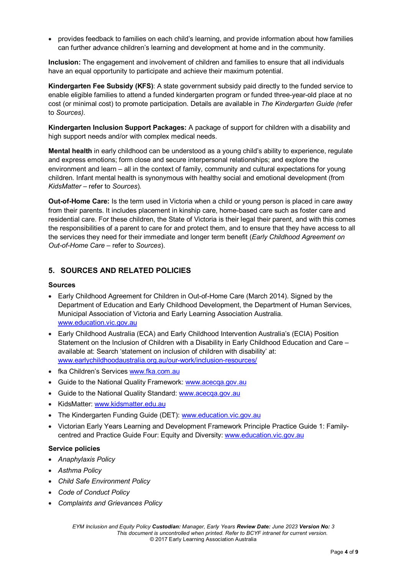• provides feedback to families on each child's learning, and provide information about how families can further advance children's learning and development at home and in the community.

**Inclusion:** The engagement and involvement of children and families to ensure that all individuals have an equal opportunity to participate and achieve their maximum potential.

**Kindergarten Fee Subsidy (KFS)**: A state government subsidy paid directly to the funded service to enable eligible families to attend a funded kindergarten program or funded three-year-old place at no cost (or minimal cost) to promote participation. Details are available in *The Kindergarten Guide (*refer to *Sources).*

**Kindergarten Inclusion Support Packages:** A package of support for children with a disability and high support needs and/or with complex medical needs.

**Mental health** in early childhood can be understood as a young child's ability to experience, regulate and express emotions; form close and secure interpersonal relationships; and explore the environment and learn – all in the context of family, community and cultural expectations for young children. Infant mental health is synonymous with healthy social and emotional development (from *KidsMatter –* refer to *Sources*).

**Out-of-Home Care:** Is the term used in Victoria when a child or young person is placed in care away from their parents. It includes placement in kinship care, home-based care such as foster care and residential care. For these children, the State of Victoria is their legal their parent, and with this comes the responsibilities of a parent to care for and protect them, and to ensure that they have access to all the services they need for their immediate and longer term benefit (*Early Childhood Agreement on Out-of-Home Care* – refer to *Sources*).

### **5. SOURCES AND RELATED POLICIES**

### **Sources**

- Early Childhood Agreement for Children in Out-of-Home Care (March 2014). Signed by the Department of Education and Early Childhood Development, the Department of Human Services, Municipal Association of Victoria and Early Learning Association Australia. [www.education.vic.gov.au](http://www.education.vic.gov.au/)
- Early Childhood Australia (ECA) and Early Childhood Intervention Australia's (ECIA) Position Statement on the Inclusion of Children with a Disability in Early Childhood Education and Care – available at: Search 'statement on inclusion of children with disability' at: [www.earlychildhoodaustralia.org.au/our-work/inclusion-resources/](http://www.earlychildhoodaustralia.org.au/our-work/inclusion-resources/)
- fka Children's Services [www.fka.com.au](http://www.fka.com.au/)
- Guide to the National Quality Framework: [www.acecqa.gov.au](https://www.acecqa.gov.au/)
- Guide to the National Quality Standard: [www.acecqa.gov.au](https://www.acecqa.gov.au/)
- KidsMatter: [www.kidsmatter.edu.au](https://www.kidsmatter.edu.au/)
- The Kindergarten Funding Guide (DET)[: www.education.vic.gov.au](http://www.education.vic.gov.au/Pages/default.aspx)
- Victorian Early Years Learning and Development Framework Principle Practice Guide 1: Familycentred and Practice Guide Four: Equity and Diversity: [www.education.vic.gov.au](http://www.education.vic.gov.au/Pages/default.aspx)

#### **Service policies**

- *Anaphylaxis Policy*
- *Asthma Policy*
- *Child Safe Environment Policy*
- *Code of Conduct Policy*
- *Complaints and Grievances Policy*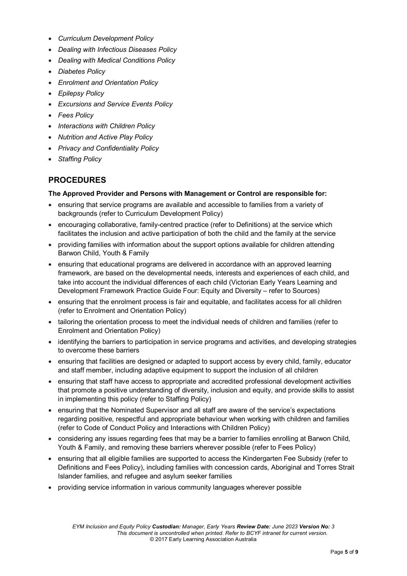- *Curriculum Development Policy*
- *Dealing with Infectious Diseases Policy*
- *Dealing with Medical Conditions Policy*
- *Diabetes Policy*
- *Enrolment and Orientation Policy*
- *Epilepsy Policy*
- *Excursions and Service Events Policy*
- *Fees Policy*
- *Interactions with Children Policy*
- *Nutrition and Active Play Policy*
- *Privacy and Confidentiality Policy*
- *Staffing Policy*

### **PROCEDURES**

#### **The Approved Provider and Persons with Management or Control are responsible for:**

- ensuring that service programs are available and accessible to families from a variety of backgrounds (refer to Curriculum Development Policy)
- encouraging collaborative, family-centred practice (refer to Definitions) at the service which facilitates the inclusion and active participation of both the child and the family at the service
- providing families with information about the support options available for children attending Barwon Child, Youth & Family
- ensuring that educational programs are delivered in accordance with an approved learning framework, are based on the developmental needs, interests and experiences of each child, and take into account the individual differences of each child (Victorian Early Years Learning and Development Framework Practice Guide Four: Equity and Diversity – refer to Sources)
- ensuring that the enrolment process is fair and equitable, and facilitates access for all children (refer to Enrolment and Orientation Policy)
- tailoring the orientation process to meet the individual needs of children and families (refer to Enrolment and Orientation Policy)
- identifying the barriers to participation in service programs and activities, and developing strategies to overcome these barriers
- ensuring that facilities are designed or adapted to support access by every child, family, educator and staff member, including adaptive equipment to support the inclusion of all children
- ensuring that staff have access to appropriate and accredited professional development activities that promote a positive understanding of diversity, inclusion and equity, and provide skills to assist in implementing this policy (refer to Staffing Policy)
- ensuring that the Nominated Supervisor and all staff are aware of the service's expectations regarding positive, respectful and appropriate behaviour when working with children and families (refer to Code of Conduct Policy and Interactions with Children Policy)
- considering any issues regarding fees that may be a barrier to families enrolling at Barwon Child, Youth & Family, and removing these barriers wherever possible (refer to Fees Policy)
- ensuring that all eligible families are supported to access the Kindergarten Fee Subsidy (refer to Definitions and Fees Policy), including families with concession cards, Aboriginal and Torres Strait Islander families, and refugee and asylum seeker families
- providing service information in various community languages wherever possible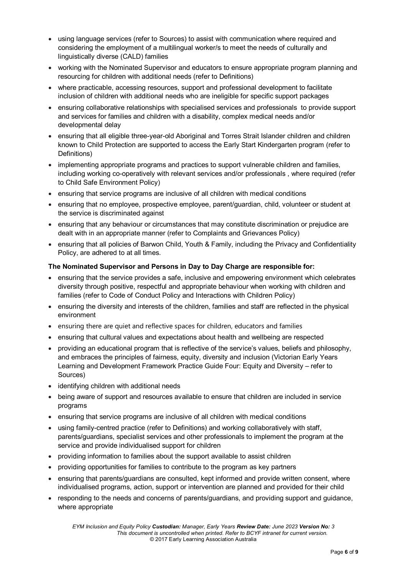- using language services (refer to Sources) to assist with communication where required and considering the employment of a multilingual worker/s to meet the needs of culturally and linguistically diverse (CALD) families
- working with the Nominated Supervisor and educators to ensure appropriate program planning and resourcing for children with additional needs (refer to Definitions)
- where practicable, accessing resources, support and professional development to facilitate inclusion of children with additional needs who are ineligible for specific support packages
- ensuring collaborative relationships with specialised services and professionals to provide support and services for families and children with a disability, complex medical needs and/or developmental delay
- ensuring that all eligible three-year-old Aboriginal and Torres Strait Islander children and children known to Child Protection are supported to access the Early Start Kindergarten program (refer to Definitions)
- implementing appropriate programs and practices to support vulnerable children and families, including working co-operatively with relevant services and/or professionals , where required (refer to Child Safe Environment Policy)
- ensuring that service programs are inclusive of all children with medical conditions
- ensuring that no employee, prospective employee, parent/guardian, child, volunteer or student at the service is discriminated against
- ensuring that any behaviour or circumstances that may constitute discrimination or prejudice are dealt with in an appropriate manner (refer to Complaints and Grievances Policy)
- ensuring that all policies of Barwon Child, Youth & Family, including the Privacy and Confidentiality Policy, are adhered to at all times.

### **The Nominated Supervisor and Persons in Day to Day Charge are responsible for:**

- ensuring that the service provides a safe, inclusive and empowering environment which celebrates diversity through positive, respectful and appropriate behaviour when working with children and families (refer to Code of Conduct Policy and Interactions with Children Policy)
- ensuring the diversity and interests of the children, families and staff are reflected in the physical environment
- ensuring there are quiet and reflective spaces for children, educators and families
- ensuring that cultural values and expectations about health and wellbeing are respected
- providing an educational program that is reflective of the service's values, beliefs and philosophy, and embraces the principles of fairness, equity, diversity and inclusion (Victorian Early Years Learning and Development Framework Practice Guide Four: Equity and Diversity – refer to Sources)
- identifying children with additional needs
- being aware of support and resources available to ensure that children are included in service programs
- ensuring that service programs are inclusive of all children with medical conditions
- using family-centred practice (refer to Definitions) and working collaboratively with staff, parents/guardians, specialist services and other professionals to implement the program at the service and provide individualised support for children
- providing information to families about the support available to assist children
- providing opportunities for families to contribute to the program as key partners
- ensuring that parents/guardians are consulted, kept informed and provide written consent, where individualised programs, action, support or intervention are planned and provided for their child
- responding to the needs and concerns of parents/guardians, and providing support and guidance, where appropriate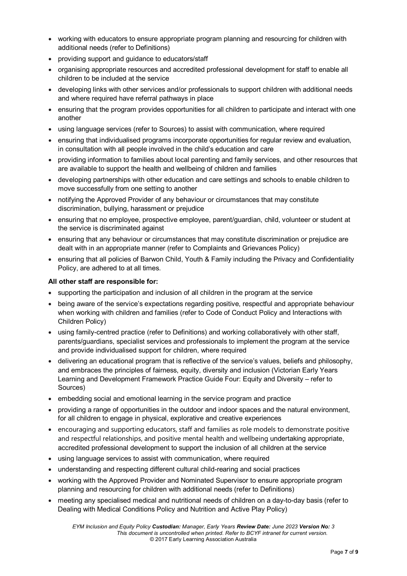- working with educators to ensure appropriate program planning and resourcing for children with additional needs (refer to Definitions)
- providing support and guidance to educators/staff
- organising appropriate resources and accredited professional development for staff to enable all children to be included at the service
- developing links with other services and/or professionals to support children with additional needs and where required have referral pathways in place
- ensuring that the program provides opportunities for all children to participate and interact with one another
- using language services (refer to Sources) to assist with communication, where required
- ensuring that individualised programs incorporate opportunities for regular review and evaluation, in consultation with all people involved in the child's education and care
- providing information to families about local parenting and family services, and other resources that are available to support the health and wellbeing of children and families
- developing partnerships with other education and care settings and schools to enable children to move successfully from one setting to another
- notifying the Approved Provider of any behaviour or circumstances that may constitute discrimination, bullying, harassment or prejudice
- ensuring that no employee, prospective employee, parent/guardian, child, volunteer or student at the service is discriminated against
- ensuring that any behaviour or circumstances that may constitute discrimination or prejudice are dealt with in an appropriate manner (refer to Complaints and Grievances Policy)
- ensuring that all policies of Barwon Child, Youth & Family including the Privacy and Confidentiality Policy, are adhered to at all times.

### **All other staff are responsible for:**

- supporting the participation and inclusion of all children in the program at the service
- being aware of the service's expectations regarding positive, respectful and appropriate behaviour when working with children and families (refer to Code of Conduct Policy and Interactions with Children Policy)
- using family-centred practice (refer to Definitions) and working collaboratively with other staff, parents/guardians, specialist services and professionals to implement the program at the service and provide individualised support for children, where required
- delivering an educational program that is reflective of the service's values, beliefs and philosophy, and embraces the principles of fairness, equity, diversity and inclusion (Victorian Early Years Learning and Development Framework Practice Guide Four: Equity and Diversity – refer to Sources)
- embedding social and emotional learning in the service program and practice
- providing a range of opportunities in the outdoor and indoor spaces and the natural environment, for all children to engage in physical, explorative and creative experiences
- encouraging and supporting educators, staff and families as role models to demonstrate positive and respectful relationships, and positive mental health and wellbeing undertaking appropriate, accredited professional development to support the inclusion of all children at the service
- using language services to assist with communication, where required
- understanding and respecting different cultural child-rearing and social practices
- working with the Approved Provider and Nominated Supervisor to ensure appropriate program planning and resourcing for children with additional needs (refer to Definitions)
- meeting any specialised medical and nutritional needs of children on a day-to-day basis (refer to Dealing with Medical Conditions Policy and Nutrition and Active Play Policy)

*EYM Inclusion and Equity Policy Custodian: Manager, Early Years Review Date: June 2023 Version No: 3 This document is uncontrolled when printed. Refer to BCYF intranet for current version.* © 2017 Early Learning Association Australia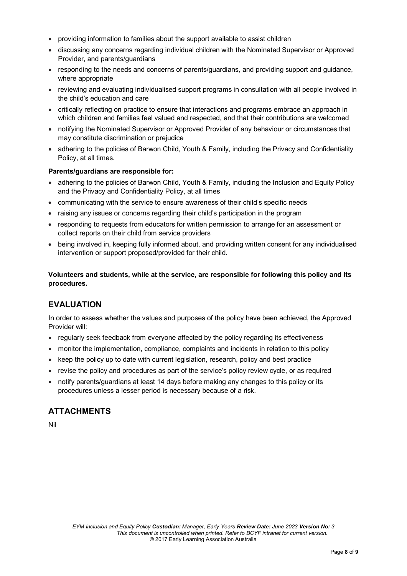- providing information to families about the support available to assist children
- discussing any concerns regarding individual children with the Nominated Supervisor or Approved Provider, and parents/guardians
- responding to the needs and concerns of parents/guardians, and providing support and guidance, where appropriate
- reviewing and evaluating individualised support programs in consultation with all people involved in the child's education and care
- critically reflecting on practice to ensure that interactions and programs embrace an approach in which children and families feel valued and respected, and that their contributions are welcomed
- notifying the Nominated Supervisor or Approved Provider of any behaviour or circumstances that may constitute discrimination or prejudice
- adhering to the policies of Barwon Child, Youth & Family, including the Privacy and Confidentiality Policy, at all times.

#### **Parents/guardians are responsible for:**

- adhering to the policies of Barwon Child, Youth & Family, including the Inclusion and Equity Policy and the Privacy and Confidentiality Policy, at all times
- communicating with the service to ensure awareness of their child's specific needs
- raising any issues or concerns regarding their child's participation in the program
- responding to requests from educators for written permission to arrange for an assessment or collect reports on their child from service providers
- being involved in, keeping fully informed about, and providing written consent for any individualised intervention or support proposed/provided for their child.

**Volunteers and students, while at the service, are responsible for following this policy and its procedures.**

# **EVALUATION**

In order to assess whether the values and purposes of the policy have been achieved, the Approved Provider will:

- regularly seek feedback from everyone affected by the policy regarding its effectiveness
- monitor the implementation, compliance, complaints and incidents in relation to this policy
- keep the policy up to date with current legislation, research, policy and best practice
- revise the policy and procedures as part of the service's policy review cycle, or as required
- notify parents/guardians at least 14 days before making any changes to this policy or its procedures unless a lesser period is necessary because of a risk.

### **ATTACHMENTS**

Nil